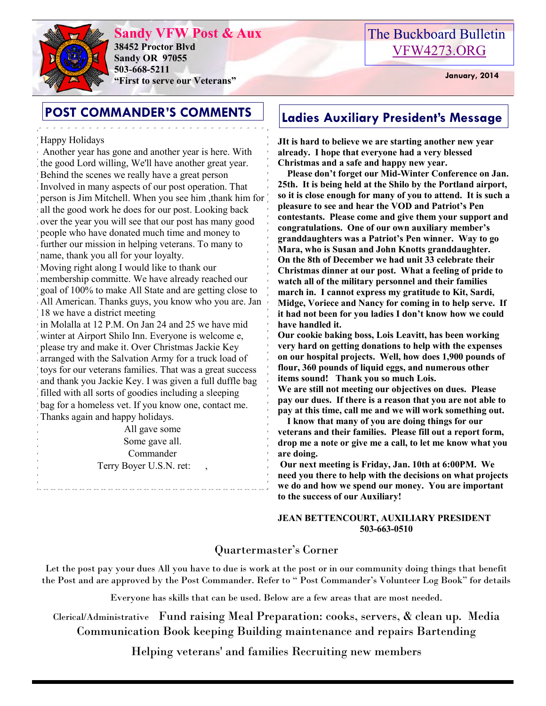

**Sandy VFW Post & Aux 38452 Proctor Blvd Sandy OR 97055 503-668-5211 "First to serve our Veterans" January, 2014** 

# The Buckboard Bulletin [VFW4273.ORG](http://vfw4273.org/)

# **POST COMMANDER'S COMMENTS** | Ladies Auxiliary President's Message

### Happy Holidays

Another year has gone and another year is here. With the good Lord willing, We'll have another great year. Behind the scenes we really have a great person Involved in many aspects of our post operation. That person is Jim Mitchell. When you see him ,thank him for all the good work he does for our post. Looking back over the year you will see that our post has many good people who have donated much time and money to further our mission in helping veterans. To many to name, thank you all for your loyalty.

Moving right along I would like to thank our membership committe. We have already reached our goal of 100% to make All State and are getting close to All American. Thanks guys, you know who you are. Jan 18 we have a district meeting

in Molalla at 12 P.M. On Jan 24 and 25 we have mid winter at Airport Shilo Inn. Everyone is welcome e, please try and make it. Over Christmas Jackie Key arranged with the Salvation Army for a truck load of toys for our veterans families. That was a great success and thank you Jackie Key. I was given a full duffle bag filled with all sorts of goodies including a sleeping bag for a homeless vet. If you know one, contact me. Thanks again and happy holidays.

> All gave some Some gave all. Commander Terry Boyer U.S.N. ret: ,

**JIt is hard to believe we are starting another new year already. I hope that everyone had a very blessed Christmas and a safe and happy new year.**

 **Please don't forget our Mid-Winter Conference on Jan. 25th. It is being held at the Shilo by the Portland airport, so it is close enough for many of you to attend. It is such a pleasure to see and hear the VOD and Patriot's Pen contestants. Please come and give them your support and congratulations. One of our own auxiliary member's granddaughters was a Patriot's Pen winner. Way to go Mara, who is Susan and John Knotts granddaughter. On the 8th of December we had unit 33 celebrate their Christmas dinner at our post. What a feeling of pride to watch all of the military personnel and their families march in. I cannot express my gratitude to Kit, Sardi, Midge, Voriece and Nancy for coming in to help serve. If it had not been for you ladies I don't know how we could have handled it.**

**Our cookie baking boss, Lois Leavitt, has been working very hard on getting donations to help with the expenses on our hospital projects. Well, how does 1,900 pounds of flour, 360 pounds of liquid eggs, and numerous other items sound! Thank you so much Lois.**

**We are still not meeting our objectives on dues. Please pay our dues. If there is a reason that you are not able to pay at this time, call me and we will work something out.**

 **I know that many of you are doing things for our veterans and their families. Please fill out a report form, drop me a note or give me a call, to let me know what you are doing.** 

**Our next meeting is Friday, Jan. 10th at 6:00PM. We need you there to help with the decisions on what projects we do and how we spend our money. You are important to the success of our Auxiliary!**

#### **JEAN BETTENCOURT, AUXILIARY PRESIDENT 503-663-0510**

## Quartermaster's Corner

Let the post pay your dues All you have to due is work at the post or in our community doing things that benefit the Post and are approved by the Post Commander. Refer to " Post Commander's Volunteer Log Book" for details

Everyone has skills that can be used. Below are a few areas that are most needed.

Clerical/Administrative Fund raising Meal Preparation: cooks, servers, & clean up. Media Communication Book keeping Building maintenance and repairs Bartending

Helping veterans' and families Recruiting new members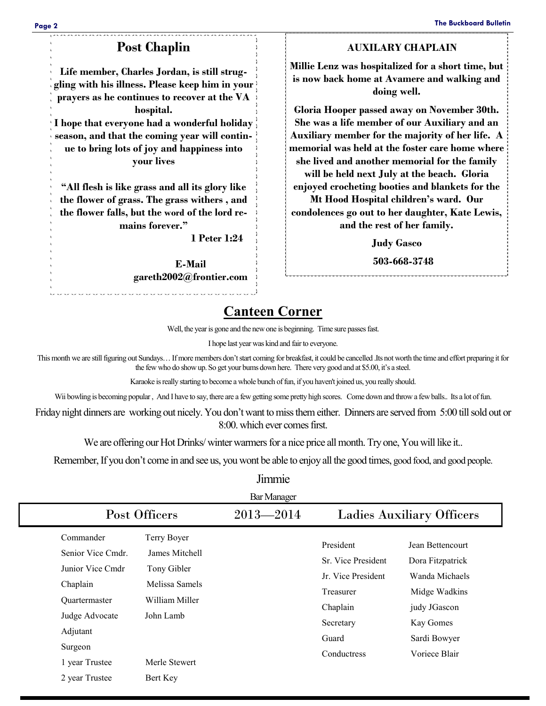## **Post Chaplin**

**Life member, Charles Jordan, is still struggling with his illness. Please keep him in your prayers as he continues to recover at the VA hospital.**

**I hope that everyone had a wonderful holiday season, and that the coming year will continue to bring lots of joy and happiness into your lives**

**"All flesh is like grass and all its glory like the flower of grass. The grass withers , and the flower falls, but the word of the lord remains forever."**

 **1 Peter 1:24** 

**E-Mail gareth2002@frontier.com**

#### **AUXILARY CHAPLAIN**

**Millie Lenz was hospitalized for a short time, but is now back home at Avamere and walking and doing well.**

**Gloria Hooper passed away on November 30th. She was a life member of our Auxiliary and an Auxiliary member for the majority of her life. A memorial was held at the foster care home where she lived and another memorial for the family will be held next July at the beach. Gloria enjoyed crocheting booties and blankets for the** 

**Mt Hood Hospital children's ward. Our condolences go out to her daughter, Kate Lewis, and the rest of her family.**

**Judy Gasco** 

 **503-668-3748**

## **Canteen Corner**

Well, the year is gone and the new one is beginning. Time sure passes fast.

I hope last year was kind and fair to everyone.

This month we are still figuring out Sundays… If more members don't start coming for breakfast, it could be cancelled .Its not worth the time and effort preparing it for the few who do show up. So get your bums down here. There very good and at \$5.00, it's a steel.

Karaoke is really starting to become a whole bunch of fun, if you haven't joined us, you really should.

Wii bowling is becoming popular , And I have to say, there are a few getting some pretty high scores. Come down and throw a few balls.. Its a lot of fun.

Friday night dinners are working out nicely. You don't want to miss them either. Dinners are served from 5:00 till sold out or 8:00. which ever comes first.

We are offering our Hot Drinks/ winter warmers for a nice price all month. Try one, You will like it..

Remember, If you don't come in and see us, you wont be able to enjoy all the good times, good food, and good people. Jimmie

| <b>Bar Manager</b>                                                                                            |                                                                                               |  |                                                                                                      |                                                                                                                      |  |  |  |
|---------------------------------------------------------------------------------------------------------------|-----------------------------------------------------------------------------------------------|--|------------------------------------------------------------------------------------------------------|----------------------------------------------------------------------------------------------------------------------|--|--|--|
|                                                                                                               | Post Officers                                                                                 |  | <b>Ladies Auxiliary Officers</b>                                                                     |                                                                                                                      |  |  |  |
| Commander<br>Senior Vice Cmdr.<br>Junior Vice Cmdr<br>Chaplain<br>Quartermaster<br>Judge Advocate<br>Adjutant | Terry Boyer<br>James Mitchell<br>Tony Gibler<br>Melissa Samels<br>William Miller<br>John Lamb |  | President<br>Sr. Vice President<br>Jr. Vice President<br>Treasurer<br>Chaplain<br>Secretary<br>Guard | Jean Bettencourt<br>Dora Fitzpatrick<br>Wanda Michaels<br>Midge Wadkins<br>judy JGascon<br>Kay Gomes<br>Sardi Bowyer |  |  |  |
| Surgeon<br>1 year Trustee<br>2 year Trustee                                                                   | Merle Stewert<br>Bert Key                                                                     |  | Conductress                                                                                          | Voriece Blair                                                                                                        |  |  |  |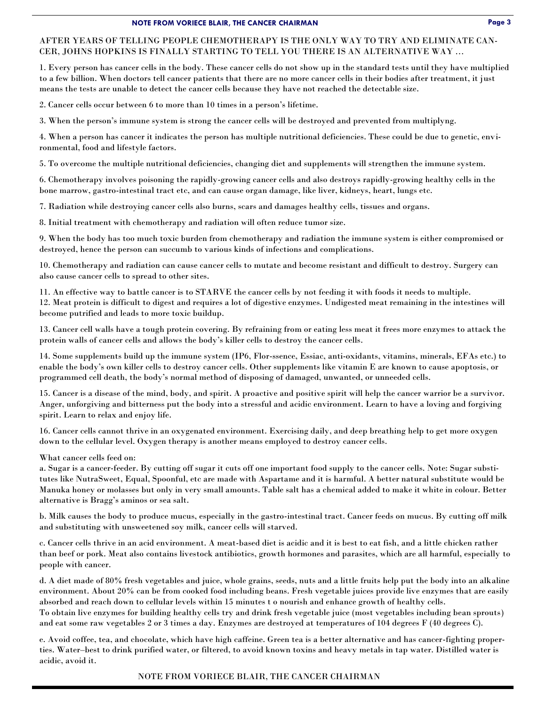#### **NOTE FROM VORIECE BLAIR, THE CANCER CHAIRMAN Page 3**

#### AFTER YEARS OF TELLING PEOPLE CHEMOTHERAPY IS THE ONLY WAY TO TRY AND ELIMINATE CAN-CER, JOHNS HOPKINS IS FINALLY STARTING TO TELL YOU THERE IS AN ALTERNATIVE WAY …

1. Every person has cancer cells in the body. These cancer cells do not show up in the standard tests until they have multiplied to a few billion. When doctors tell cancer patients that there are no more cancer cells in their bodies after treatment, it just means the tests are unable to detect the cancer cells because they have not reached the detectable size.

2. Cancer cells occur between 6 to more than 10 times in a person's lifetime.

3. When the person's immune system is strong the cancer cells will be destroyed and prevented from multiplyng.

4. When a person has cancer it indicates the person has multiple nutritional deficiencies. These could be due to genetic, environmental, food and lifestyle factors.

5. To overcome the multiple nutritional deficiencies, changing diet and supplements will strengthen the immune system.

6. Chemotherapy involves poisoning the rapidly-growing cancer cells and also destroys rapidly-growing healthy cells in the bone marrow, gastro-intestinal tract etc, and can cause organ damage, like liver, kidneys, heart, lungs etc.

7. Radiation while destroying cancer cells also burns, scars and damages healthy cells, tissues and organs.

8. Initial treatment with chemotherapy and radiation will often reduce tumor size.

9. When the body has too much toxic burden from chemotherapy and radiation the immune system is either compromised or destroyed, hence the person can succumb to various kinds of infections and complications.

10. Chemotherapy and radiation can cause cancer cells to mutate and become resistant and difficult to destroy. Surgery can also cause cancer cells to spread to other sites.

11. An effective way to battle cancer is to STARVE the cancer cells by not feeding it with foods it needs to multiple.

12. Meat protein is difficult to digest and requires a lot of digestive enzymes. Undigested meat remaining in the intestines will become putrified and leads to more toxic buildup.

13. Cancer cell walls have a tough protein covering. By refraining from or eating less meat it frees more enzymes to attack the protein walls of cancer cells and allows the body's killer cells to destroy the cancer cells.

14. Some supplements build up the immune system (IP6, Flor-ssence, Essiac, anti-oxidants, vitamins, minerals, EFAs etc.) to enable the body's own killer cells to destroy cancer cells. Other supplements like vitamin E are known to cause apoptosis, or programmed cell death, the body's normal method of disposing of damaged, unwanted, or unneeded cells.

15. Cancer is a disease of the mind, body, and spirit. A proactive and positive spirit will help the cancer warrior be a survivor. Anger, unforgiving and bitterness put the body into a stressful and acidic environment. Learn to have a loving and forgiving spirit. Learn to relax and enjoy life.

16. Cancer cells cannot thrive in an oxygenated environment. Exercising daily, and deep breathing help to get more oxygen down to the cellular level. Oxygen therapy is another means employed to destroy cancer cells.

What cancer cells feed on:

a. Sugar is a cancer-feeder. By cutting off sugar it cuts off one important food supply to the cancer cells. Note: Sugar substitutes like NutraSweet, Equal, Spoonful, etc are made with Aspartame and it is harmful. A better natural substitute would be Manuka honey or molasses but only in very small amounts. Table salt has a chemical added to make it white in colour. Better alternative is Bragg's aminos or sea salt.

b. Milk causes the body to produce mucus, especially in the gastro-intestinal tract. Cancer feeds on mucus. By cutting off milk and substituting with unsweetened soy milk, cancer cells will starved.

c. Cancer cells thrive in an acid environment. A meat-based diet is acidic and it is best to eat fish, and a little chicken rather than beef or pork. Meat also contains livestock antibiotics, growth hormones and parasites, which are all harmful, especially to people with cancer.

d. A diet made of 80% fresh vegetables and juice, whole grains, seeds, nuts and a little fruits help put the body into an alkaline environment. About 20% can be from cooked food including beans. Fresh vegetable juices provide live enzymes that are easily absorbed and reach down to cellular levels within 15 minutes t o nourish and enhance growth of healthy cells. To obtain live enzymes for building healthy cells try and drink fresh vegetable juice (most vegetables including bean sprouts) and eat some raw vegetables 2 or 3 times a day. Enzymes are destroyed at temperatures of 104 degrees F (40 degrees C).

e. Avoid coffee, tea, and chocolate, which have high caffeine. Green tea is a better alternative and has cancer-fighting properties. Water–best to drink purified water, or filtered, to avoid known toxins and heavy metals in tap water. Distilled water is acidic, avoid it.

NOTE FROM VORIECE BLAIR, THE CANCER CHAIRMAN